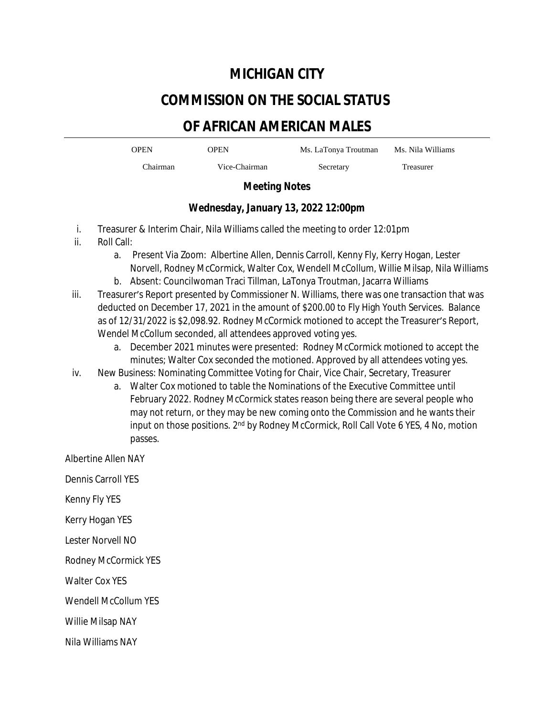### **MICHIGAN CITY**

# **COMMISSION ON THE SOCIAL STATUS**

## **OF AFRICAN AMERICAN MALES**

OPEN OPEN Ms. LaTonya Troutman Ms. Nila Williams

Chairman Vice-Chairman Secretary Treasurer

#### *Meeting Notes*

#### *Wednesday, January 13, 2022 12:00pm*

- i. Treasurer & Interim Chair, Nila Williams called the meeting to order 12:01pm
- ii. Roll Call:
	- a. Present Via Zoom: Albertine Allen, Dennis Carroll, Kenny Fly, Kerry Hogan, Lester Norvell, Rodney McCormick, Walter Cox, Wendell McCollum, Willie Milsap, Nila Williams
	- b. Absent: Councilwoman Traci Tillman, LaTonya Troutman, Jacarra Williams
- iii. Treasurer's Report presented by Commissioner N. Williams, there was one transaction that was deducted on December 17, 2021 in the amount of \$200.00 to Fly High Youth Services. Balance as of 12/31/2022 is \$2,098.92. Rodney McCormick motioned to accept the Treasurer's Report, Wendel McCollum seconded, all attendees approved voting yes.
	- a. December 2021 minutes were presented: Rodney McCormick motioned to accept the minutes; Walter Cox seconded the motioned. Approved by all attendees voting yes.
- iv. New Business: Nominating Committee Voting for Chair, Vice Chair, Secretary, Treasurer
	- a. Walter Cox motioned to table the Nominations of the Executive Committee until February 2022. Rodney McCormick states reason being there are several people who may not return, or they may be new coming onto the Commission and he wants their input on those positions. 2<sup>nd</sup> by Rodney McCormick, Roll Call Vote 6 YES, 4 No, motion passes.

Albertine Allen NAY

Dennis Carroll YES

Kenny Fly YES

Kerry Hogan YES

Lester Norvell NO

Rodney McCormick YES

Walter Cox YES

Wendell McCollum YES

Willie Milsap NAY

Nila Williams NAY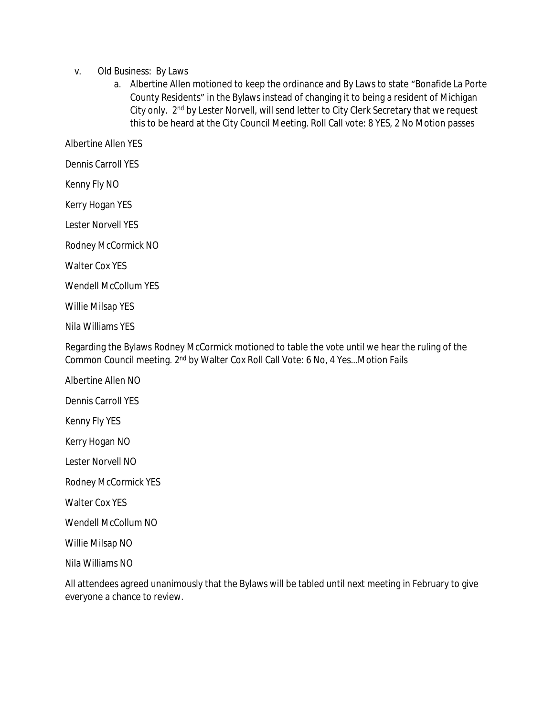- v. Old Business: By Laws
	- a. Albertine Allen motioned to keep the ordinance and By Laws to state "Bonafide La Porte County Residents" in the Bylaws instead of changing it to being a resident of Michigan City only. 2nd by Lester Norvell, will send letter to City Clerk Secretary that we request this to be heard at the City Council Meeting. Roll Call vote: 8 YES, 2 No Motion passes

Albertine Allen YES

Dennis Carroll YES

Kenny Fly NO

Kerry Hogan YES

Lester Norvell YES

Rodney McCormick NO

Walter Cox YES

Wendell McCollum YES

Willie Milsap YES

Nila Williams YES

Regarding the Bylaws Rodney McCormick motioned to table the vote until we hear the ruling of the Common Council meeting. 2<sup>nd</sup> by Walter Cox Roll Call Vote: 6 No, 4 Yes...Motion Fails

Albertine Allen NO

Dennis Carroll YES

Kenny Fly YES

Kerry Hogan NO

Lester Norvell NO

Rodney McCormick YES

Walter Cox YES

Wendell McCollum NO

Willie Milsap NO

Nila Williams NO

All attendees agreed unanimously that the Bylaws will be tabled until next meeting in February to give everyone a chance to review.